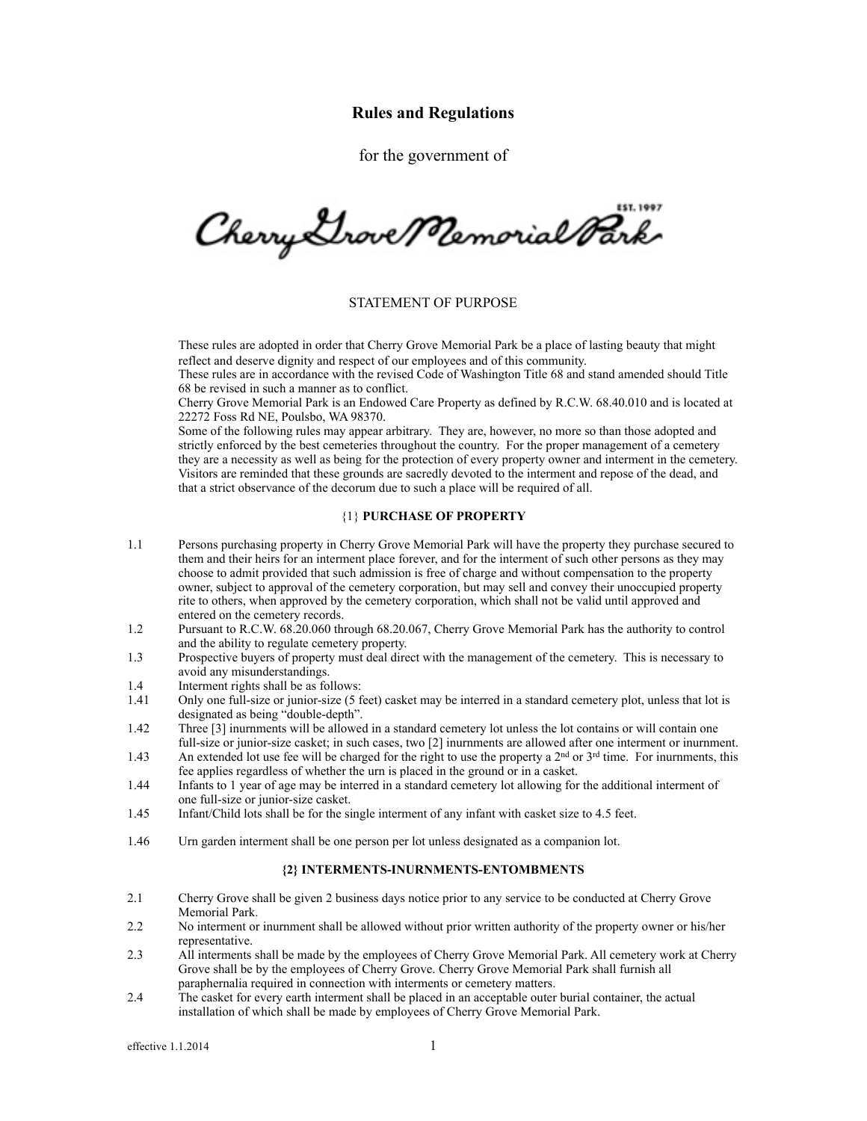# **Rules and Regulations**

for the government of

Cherry Grove Memorial Park

### STATEMENT OF PURPOSE

These rules are adopted in order that Cherry Grove Memorial Park be a place of lasting beauty that might reflect and deserve dignity and respect of our employees and of this community.

 These rules are in accordance with the revised Code of Washington Title 68 and stand amended should Title 68 be revised in such a manner as to conflict.

 Cherry Grove Memorial Park is an Endowed Care Property as defined by R.C.W. 68.40.010 and is located at 22272 Foss Rd NE, Poulsbo, WA 98370.

 Some of the following rules may appear arbitrary. They are, however, no more so than those adopted and strictly enforced by the best cemeteries throughout the country. For the proper management of a cemetery they are a necessity as well as being for the protection of every property owner and interment in the cemetery. Visitors are reminded that these grounds are sacredly devoted to the interment and repose of the dead, and that a strict observance of the decorum due to such a place will be required of all.

#### {1} **PURCHASE OF PROPERTY**

- 1.1 Persons purchasing property in Cherry Grove Memorial Park will have the property they purchase secured to them and their heirs for an interment place forever, and for the interment of such other persons as they may choose to admit provided that such admission is free of charge and without compensation to the property owner, subject to approval of the cemetery corporation, but may sell and convey their unoccupied property rite to others, when approved by the cemetery corporation, which shall not be valid until approved and entered on the cemetery records.<br>12 Pursuant to R C W 68 20 060 the
- 1.2 Pursuant to R.C.W. 68.20.060 through 68.20.067, Cherry Grove Memorial Park has the authority to control and the ability to regulate cemetery property.
- 1.3 Prospective buyers of property must deal direct with the management of the cemetery. This is necessary to avoid any misunderstandings.<br>14 Interment rights shall be as fol-
- 1.4 Interment rights shall be as follows:<br>1.41 Only one full-size or junior-size (5 f

Only one full-size or junior-size (5 feet) casket may be interred in a standard cemetery plot, unless that lot is designated as being "double-depth".

- 1.42 Three [3] inurnments will be allowed in a standard cemetery lot unless the lot contains or will contain one full-size or junior-size casket; in such cases, two [2] inurnments are allowed after one interment or inurnment.
- 1.43 An extended lot use fee will be charged for the right to use the property a  $2<sup>nd</sup>$  or  $3<sup>rd</sup>$  time. For inurnments, this fee applies regardless of whether the urn is placed in the ground or in a casket.
- 1.44 Infants to 1 year of age may be interred in a standard cemetery lot allowing for the additional interment of one full-size or junior-size casket.<br>1.45 Infant/Child lots shall be for the si
- Infant/Child lots shall be for the single interment of any infant with casket size to 4.5 feet.
- 1.46 Urn garden interment shall be one person per lot unless designated as a companion lot.

#### **{2} INTERMENTS-INURNMENTS-ENTOMBMENTS**

- 2.1 Cherry Grove shall be given 2 business days notice prior to any service to be conducted at Cherry Grove Memorial Park.
- 2.2 No interment or inurnment shall be allowed without prior written authority of the property owner or his/her representative.
- 2.3 All interments shall be made by the employees of Cherry Grove Memorial Park. All cemetery work at Cherry Grove shall be by the employees of Cherry Grove. Cherry Grove Memorial Park shall furnish all paraphernalia required in connection with interments or cemetery matters.
- 2.4 The casket for every earth interment shall be placed in an acceptable outer burial container, the actual installation of which shall be made by employees of Cherry Grove Memorial Park.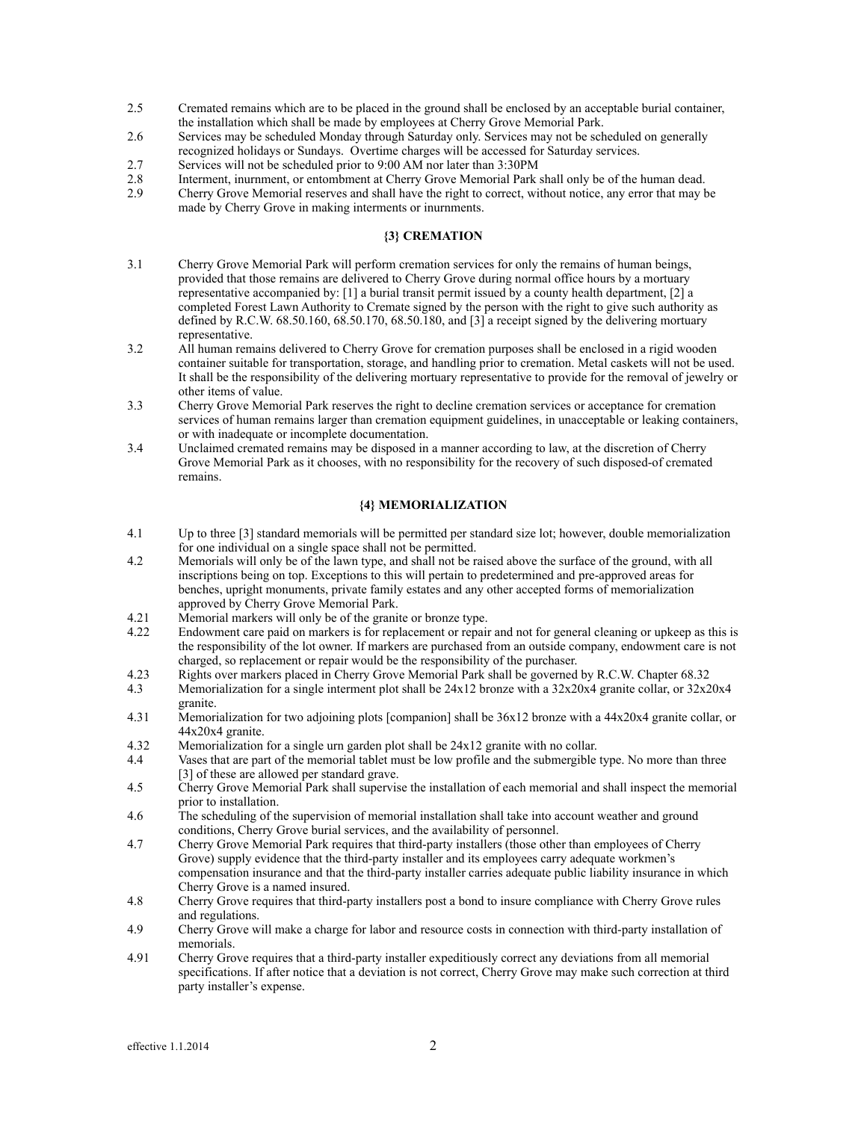- 2.5 Cremated remains which are to be placed in the ground shall be enclosed by an acceptable burial container, the installation which shall be made by employees at Cherry Grove Memorial Park.
- 2.6 Services may be scheduled Monday through Saturday only. Services may not be scheduled on generally recognized holidays or Sundays. Overtime charges will be accessed for Saturday services.
- 2.7 Services will not be scheduled prior to 9:00 AM nor later than 3:30PM
- 2.8 Interment, inurnment, or entombment at Cherry Grove Memorial Park shall only be of the human dead.<br>2.9 Cherry Grove Memorial reserves and shall have the right to correct, without notice, any error that may b
- 2.9 Cherry Grove Memorial reserves and shall have the right to correct, without notice, any error that may be made by Cherry Grove in making interments or inurnments.

#### **{3} CREMATION**

- 3.1 Cherry Grove Memorial Park will perform cremation services for only the remains of human beings, provided that those remains are delivered to Cherry Grove during normal office hours by a mortuary representative accompanied by: [1] a burial transit permit issued by a county health department, [2] a completed Forest Lawn Authority to Cremate signed by the person with the right to give such authority as defined by R.C.W. 68.50.160, 68.50.170, 68.50.180, and [3] a receipt signed by the delivering mortuary representative.<br>3.2 All human rem
- All human remains delivered to Cherry Grove for cremation purposes shall be enclosed in a rigid wooden container suitable for transportation, storage, and handling prior to cremation. Metal caskets will not be used. It shall be the responsibility of the delivering mortuary representative to provide for the removal of jewelry or other items of value.<br>3.3 Cherry Grove Memo
- 3.3 Cherry Grove Memorial Park reserves the right to decline cremation services or acceptance for cremation services of human remains larger than cremation equipment guidelines, in unacceptable or leaking containers, or with inadequate or incomplete documentation.
- 3.4 Unclaimed cremated remains may be disposed in a manner according to law, at the discretion of Cherry Grove Memorial Park as it chooses, with no responsibility for the recovery of such disposed-of cremated remains.

# **{4} MEMORIALIZATION**

- 4.1 Up to three [3] standard memorials will be permitted per standard size lot; however, double memorialization for one individual on a single space shall not be permitted.
- 4.2 Memorials will only be of the lawn type, and shall not be raised above the surface of the ground, with all inscriptions being on top. Exceptions to this will pertain to predetermined and pre-approved areas for benches, upright monuments, private family estates and any other accepted forms of memorialization approved by Cherry Grove Memorial Park.
- 4.21 Memorial markers will only be of the granite or bronze type.
- 4.22 Endowment care paid on markers is for replacement or repair and not for general cleaning or upkeep as this is the responsibility of the lot owner. If markers are purchased from an outside company, endowment care is not charged, so replacement or repair would be the responsibility of the purchaser.
- 4.23 Rights over markers placed in Cherry Grove Memorial Park shall be governed by R.C.W. Chapter 68.32
- 4.3 Memorialization for a single interment plot shall be 24x12 bronze with a 32x20x4 granite collar, or 32x20x4 granite.
- 4.31 Memorialization for two adjoining plots [companion] shall be 36x12 bronze with a 44x20x4 granite collar, or  $44x20x4$  granite.<br>4.32 Memorialization
- Memorialization for a single urn garden plot shall be  $24x12$  granite with no collar.
- 4.4 Vases that are part of the memorial tablet must be low profile and the submergible type. No more than three [3] of these are allowed per standard grave.<br>4.5 Cherry Grove Memorial Park shall supervis
- 4.5 Cherry Grove Memorial Park shall supervise the installation of each memorial and shall inspect the memorial prior to installation.
- 4.6 The scheduling of the supervision of memorial installation shall take into account weather and ground conditions, Cherry Grove burial services, and the availability of personnel.
- 4.7 Cherry Grove Memorial Park requires that third-party installers (those other than employees of Cherry Grove) supply evidence that the third-party installer and its employees carry adequate workmen's compensation insurance and that the third-party installer carries adequate public liability insurance in which Cherry Grove is a named insured.
- 4.8 Cherry Grove requires that third-party installers post a bond to insure compliance with Cherry Grove rules and regulations.
- 4.9 Cherry Grove will make a charge for labor and resource costs in connection with third-party installation of memorials.<br>4.91 Cherry Gro
- 4.91 Cherry Grove requires that a third-party installer expeditiously correct any deviations from all memorial specifications. If after notice that a deviation is not correct, Cherry Grove may make such correction at third party installer's expense.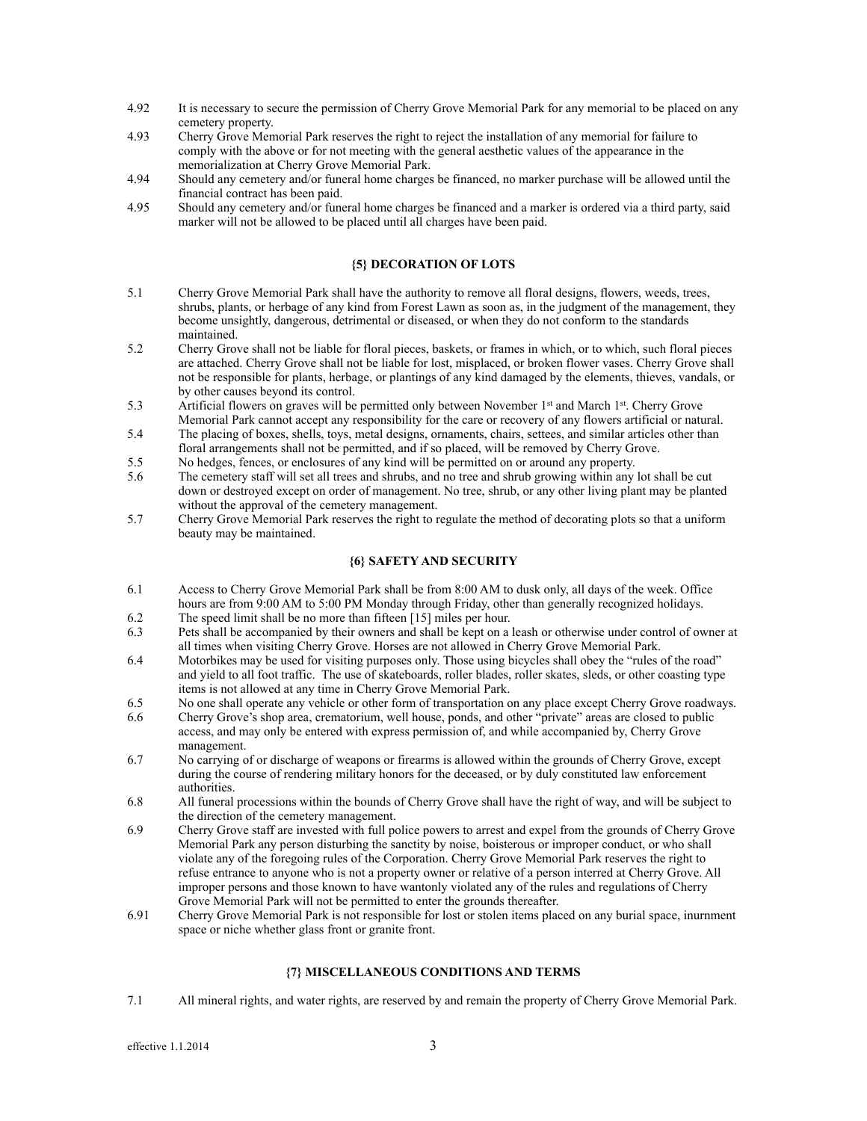- 4.92 It is necessary to secure the permission of Cherry Grove Memorial Park for any memorial to be placed on any cemetery property.
- 4.93 Cherry Grove Memorial Park reserves the right to reject the installation of any memorial for failure to comply with the above or for not meeting with the general aesthetic values of the appearance in the memorialization at Cherry Grove Memorial Park.
- 4.94 Should any cemetery and/or funeral home charges be financed, no marker purchase will be allowed until the financial contract has been paid.
- 4.95 Should any cemetery and/or funeral home charges be financed and a marker is ordered via a third party, said marker will not be allowed to be placed until all charges have been paid.

# **{5} DECORATION OF LOTS**

- 5.1 Cherry Grove Memorial Park shall have the authority to remove all floral designs, flowers, weeds, trees, shrubs, plants, or herbage of any kind from Forest Lawn as soon as, in the judgment of the management, they become unsightly, dangerous, detrimental or diseased, or when they do not conform to the standards maintained.<br>5.2 Cherry Grov
- 5.2 Cherry Grove shall not be liable for floral pieces, baskets, or frames in which, or to which, such floral pieces are attached. Cherry Grove shall not be liable for lost, misplaced, or broken flower vases. Cherry Grove shall not be responsible for plants, herbage, or plantings of any kind damaged by the elements, thieves, vandals, or by other causes beyond its control.<br>5.3 Artificial flowers on graves will be
- Artificial flowers on graves will be permitted only between November 1<sup>st</sup> and March 1<sup>st</sup>. Cherry Grove Memorial Park cannot accept any responsibility for the care or recovery of any flowers artificial or natural.
- 5.4 The placing of boxes, shells, toys, metal designs, ornaments, chairs, settees, and similar articles other than floral arrangements shall not be permitted, and if so placed, will be removed by Cherry Grove.
- 5.5 No hedges, fences, or enclosures of any kind will be permitted on or around any property.
- 5.6 The cemetery staff will set all trees and shrubs, and no tree and shrub growing within any lot shall be cut down or destroyed except on order of management. No tree, shrub, or any other living plant may be planted without the approval of the cemetery management.
- 5.7 Cherry Grove Memorial Park reserves the right to regulate the method of decorating plots so that a uniform beauty may be maintained.

# **{6} SAFETY AND SECURITY**

- 6.1 Access to Cherry Grove Memorial Park shall be from 8:00 AM to dusk only, all days of the week. Office hours are from 9:00 AM to 5:00 PM Monday through Friday, other than generally recognized holidays.<br>6.2 The speed limit shall be no more than fifteen [15] miles per hour.
- The speed limit shall be no more than fifteen [15] miles per hour.
- 6.3 Pets shall be accompanied by their owners and shall be kept on a leash or otherwise under control of owner at all times when visiting Cherry Grove. Horses are not allowed in Cherry Grove Memorial Park.<br>6.4 Motorbikes may be used for visiting purposes only. Those using bicycles shall obey the "rules"
- Motorbikes may be used for visiting purposes only. Those using bicycles shall obey the "rules of the road" and yield to all foot traffic. The use of skateboards, roller blades, roller skates, sleds, or other coasting type items is not allowed at any time in Cherry Grove Memorial Park.<br>6.5 No one shall operate any vehicle or other form of transportation of
- No one shall operate any vehicle or other form of transportation on any place except Cherry Grove roadways.
- 6.6 Cherry Grove's shop area, crematorium, well house, ponds, and other "private" areas are closed to public access, and may only be entered with express permission of, and while accompanied by, Cherry Grove management.
- 6.7 No carrying of or discharge of weapons or firearms is allowed within the grounds of Cherry Grove, except during the course of rendering military honors for the deceased, or by duly constituted law enforcement authorities.
- 6.8 All funeral processions within the bounds of Cherry Grove shall have the right of way, and will be subject to the direction of the cemetery management.<br>6.9 Cherry Grove staff are invested with full po
- 6.9 Cherry Grove staff are invested with full police powers to arrest and expel from the grounds of Cherry Grove Memorial Park any person disturbing the sanctity by noise, boisterous or improper conduct, or who shall violate any of the foregoing rules of the Corporation. Cherry Grove Memorial Park reserves the right to refuse entrance to anyone who is not a property owner or relative of a person interred at Cherry Grove. All improper persons and those known to have wantonly violated any of the rules and regulations of Cherry Grove Memorial Park will not be permitted to enter the grounds thereafter.<br>6.91 Cherry Grove Memorial Park is not responsible for lost or stolen items place
- Cherry Grove Memorial Park is not responsible for lost or stolen items placed on any burial space, inurnment space or niche whether glass front or granite front.

#### **{7} MISCELLANEOUS CONDITIONS AND TERMS**

7.1 All mineral rights, and water rights, are reserved by and remain the property of Cherry Grove Memorial Park.